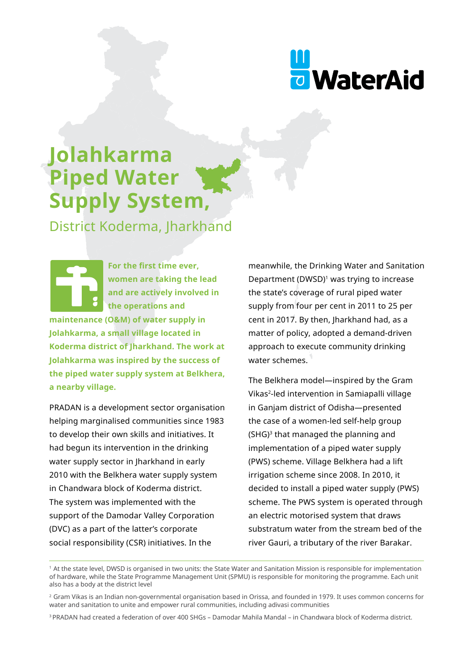

# **Jolahkarma Piped Water Supply System,**

District Koderma, Jharkhand

**For the first time ever, women are taking the lead and are actively involved in the operations and maintenance (O&M) of water supply in Jolahkarma, a small village located in Koderma district of Jharkhand. The work at Jolahkarma was inspired by the success of the piped water supply system at Belkhera, a nearby village.** 

PRADAN is a development sector organisation helping marginalised communities since 1983 to develop their own skills and initiatives. It had begun its intervention in the drinking water supply sector in Jharkhand in early 2010 with the Belkhera water supply system in Chandwara block of Koderma district. The system was implemented with the support of the Damodar Valley Corporation (DVC) as a part of the latter's corporate social responsibility (CSR) initiatives. In the

meanwhile, the Drinking Water and Sanitation Department (DWSD)<sup>1</sup> was trying to increase the state's coverage of rural piped water supply from four per cent in 2011 to 25 per cent in 2017. By then, Jharkhand had, as a matter of policy, adopted a demand-driven approach to execute community drinking water schemes.

The Belkhera model—inspired by the Gram Vikas2-led intervention in Samiapalli village in Ganjam district of Odisha—presented the case of a women-led self-help group  $(SHG)<sup>3</sup>$  that managed the planning and implementation of a piped water supply (PWS) scheme. Village Belkhera had a lift irrigation scheme since 2008. In 2010, it decided to install a piped water supply (PWS) scheme. The PWS system is operated through an electric motorised system that draws substratum water from the stream bed of the river Gauri, a tributary of the river Barakar.

<sup>1</sup> At the state level, DWSD is organised in two units: the State Water and Sanitation Mission is responsible for implementation of hardware, while the State Programme Management Unit (SPMU) is responsible for monitoring the programme. Each unit also has a body at the district level

<sup>2</sup> Gram Vikas is an Indian non-governmental organisation based in Orissa, and founded in 1979. It uses common concerns for water and sanitation to unite and empower rural communities, including adivasi communities

<sup>3</sup> PRADAN had created a federation of over 400 SHGs – Damodar Mahila Mandal – in Chandwara block of Koderma district.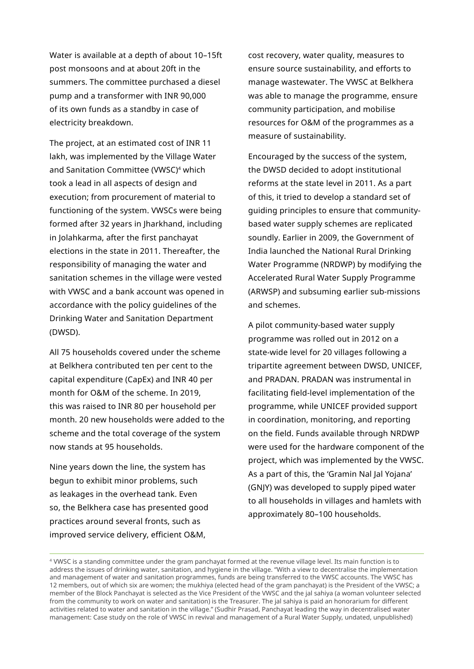Water is available at a depth of about 10–15ft post monsoons and at about 20ft in the summers. The committee purchased a diesel pump and a transformer with INR 90,000 of its own funds as a standby in case of electricity breakdown.

The project, at an estimated cost of INR 11 lakh, was implemented by the Village Water and Sanitation Committee (VWSC)4 which took a lead in all aspects of design and execution; from procurement of material to functioning of the system. VWSCs were being formed after 32 years in Jharkhand, including in Jolahkarma, after the first panchayat elections in the state in 2011. Thereafter, the responsibility of managing the water and sanitation schemes in the village were vested with VWSC and a bank account was opened in accordance with the policy guidelines of the Drinking Water and Sanitation Department (DWSD).

All 75 households covered under the scheme at Belkhera contributed ten per cent to the capital expenditure (CapEx) and INR 40 per month for O&M of the scheme. In 2019, this was raised to INR 80 per household per month. 20 new households were added to the scheme and the total coverage of the system now stands at 95 households.

Nine years down the line, the system has begun to exhibit minor problems, such as leakages in the overhead tank. Even so, the Belkhera case has presented good practices around several fronts, such as improved service delivery, efficient O&M,

cost recovery, water quality, measures to ensure source sustainability, and efforts to manage wastewater. The VWSC at Belkhera was able to manage the programme, ensure community participation, and mobilise resources for O&M of the programmes as a measure of sustainability.

Encouraged by the success of the system, the DWSD decided to adopt institutional reforms at the state level in 2011. As a part of this, it tried to develop a standard set of guiding principles to ensure that communitybased water supply schemes are replicated soundly. Earlier in 2009, the Government of India launched the National Rural Drinking Water Programme (NRDWP) by modifying the Accelerated Rural Water Supply Programme (ARWSP) and subsuming earlier sub-missions and schemes.

A pilot community-based water supply programme was rolled out in 2012 on a state-wide level for 20 villages following a tripartite agreement between DWSD, UNICEF, and PRADAN. PRADAN was instrumental in facilitating field-level implementation of the programme, while UNICEF provided support in coordination, monitoring, and reporting on the field. Funds available through NRDWP were used for the hardware component of the project, which was implemented by the VWSC. As a part of this, the 'Gramin Nal Jal Yojana' (GNJY) was developed to supply piped water to all households in villages and hamlets with approximately 80–100 households.

<sup>4</sup> VWSC is a standing committee under the gram panchayat formed at the revenue village level. Its main function is to address the issues of drinking water, sanitation, and hygiene in the village. "With a view to decentralise the implementation and management of water and sanitation programmes, funds are being transferred to the VWSC accounts. The VWSC has 12 members, out of which six are women; the mukhiya (elected head of the gram panchayat) is the President of the VWSC; a member of the Block Panchayat is selected as the Vice President of the VWSC and the jal sahiya (a woman volunteer selected from the community to work on water and sanitation) is the Treasurer. The jal sahiya is paid an honorarium for different activities related to water and sanitation in the village." (Sudhir Prasad, Panchayat leading the way in decentralised water management: Case study on the role of VWSC in revival and management of a Rural Water Supply, undated, unpublished)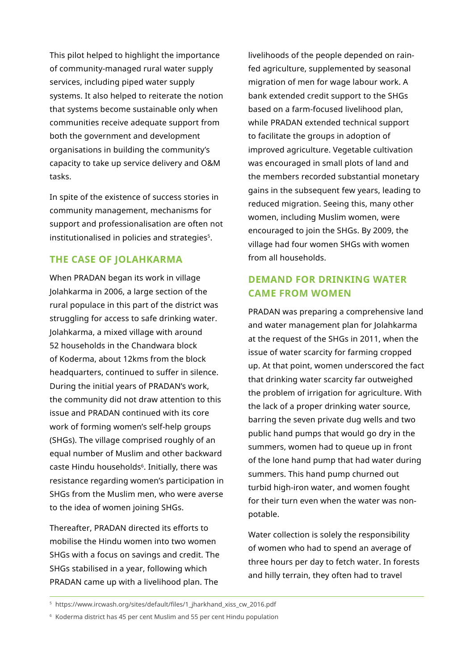This pilot helped to highlight the importance of community-managed rural water supply services, including piped water supply systems. It also helped to reiterate the notion that systems become sustainable only when communities receive adequate support from both the government and development organisations in building the community's capacity to take up service delivery and O&M tasks.

In spite of the existence of success stories in community management, mechanisms for support and professionalisation are often not institutionalised in policies and strategies<sup>5</sup>.

#### **THE CASE OF JOLAHKARMA**

When PRADAN began its work in village Jolahkarma in 2006, a large section of the rural populace in this part of the district was struggling for access to safe drinking water. Jolahkarma, a mixed village with around 52 households in the Chandwara block of Koderma, about 12kms from the block headquarters, continued to suffer in silence. During the initial years of PRADAN's work, the community did not draw attention to this issue and PRADAN continued with its core work of forming women's self-help groups (SHGs). The village comprised roughly of an equal number of Muslim and other backward caste Hindu households<sup>6</sup>. Initially, there was resistance regarding women's participation in SHGs from the Muslim men, who were averse to the idea of women joining SHGs.

Thereafter, PRADAN directed its efforts to mobilise the Hindu women into two women SHGs with a focus on savings and credit. The SHGs stabilised in a year, following which PRADAN came up with a livelihood plan. The

livelihoods of the people depended on rainfed agriculture, supplemented by seasonal migration of men for wage labour work. A bank extended credit support to the SHGs based on a farm-focused livelihood plan, while PRADAN extended technical support to facilitate the groups in adoption of improved agriculture. Vegetable cultivation was encouraged in small plots of land and the members recorded substantial monetary gains in the subsequent few years, leading to reduced migration. Seeing this, many other women, including Muslim women, were encouraged to join the SHGs. By 2009, the village had four women SHGs with women from all households.

## **DEMAND FOR DRINKING WATER CAME FROM WOMEN**

PRADAN was preparing a comprehensive land and water management plan for Jolahkarma at the request of the SHGs in 2011, when the issue of water scarcity for farming cropped up. At that point, women underscored the fact that drinking water scarcity far outweighed the problem of irrigation for agriculture. With the lack of a proper drinking water source, barring the seven private dug wells and two public hand pumps that would go dry in the summers, women had to queue up in front of the lone hand pump that had water during summers. This hand pump churned out turbid high-iron water, and women fought for their turn even when the water was nonpotable.

Water collection is solely the responsibility of women who had to spend an average of three hours per day to fetch water. In forests and hilly terrain, they often had to travel

<sup>5</sup>https://www.ircwash.org/sites/default/files/1\_jharkhand\_xiss\_cw\_2016.pdf

<sup>6</sup> Koderma district has 45 per cent Muslim and 55 per cent Hindu population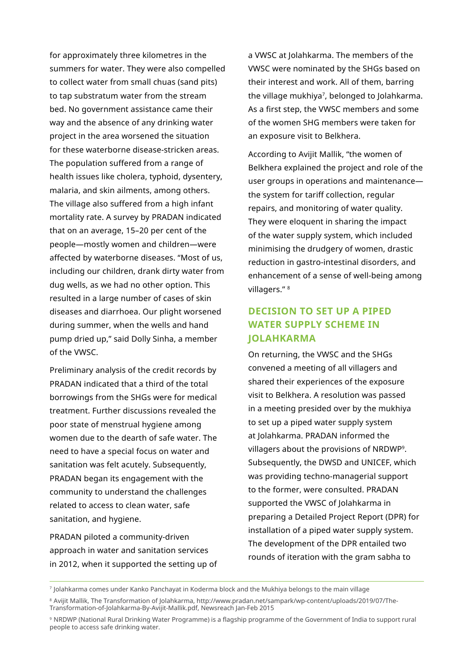for approximately three kilometres in the summers for water. They were also compelled to collect water from small chuas (sand pits) to tap substratum water from the stream bed. No government assistance came their way and the absence of any drinking water project in the area worsened the situation for these waterborne disease-stricken areas. The population suffered from a range of health issues like cholera, typhoid, dysentery, malaria, and skin ailments, among others. The village also suffered from a high infant mortality rate. A survey by PRADAN indicated that on an average, 15–20 per cent of the people—mostly women and children—were affected by waterborne diseases. "Most of us, including our children, drank dirty water from dug wells, as we had no other option. This resulted in a large number of cases of skin diseases and diarrhoea. Our plight worsened during summer, when the wells and hand pump dried up," said Dolly Sinha, a member of the VWSC.

Preliminary analysis of the credit records by PRADAN indicated that a third of the total borrowings from the SHGs were for medical treatment. Further discussions revealed the poor state of menstrual hygiene among women due to the dearth of safe water. The need to have a special focus on water and sanitation was felt acutely. Subsequently, PRADAN began its engagement with the community to understand the challenges related to access to clean water, safe sanitation, and hygiene.

PRADAN piloted a community-driven approach in water and sanitation services in 2012, when it supported the setting up of a VWSC at Jolahkarma. The members of the VWSC were nominated by the SHGs based on their interest and work. All of them, barring the village mukhiya<sup>7</sup>, belonged to Jolahkarma. As a first step, the VWSC members and some of the women SHG members were taken for an exposure visit to Belkhera.

According to Avijit Mallik, "the women of Belkhera explained the project and role of the user groups in operations and maintenance the system for tariff collection, regular repairs, and monitoring of water quality. They were eloquent in sharing the impact of the water supply system, which included minimising the drudgery of women, drastic reduction in gastro-intestinal disorders, and enhancement of a sense of well-being among villagers." 8

## **DECISION TO SET UP A PIPED WATER SUPPLY SCHEME IN JOLAHKARMA**

On returning, the VWSC and the SHGs convened a meeting of all villagers and shared their experiences of the exposure visit to Belkhera. A resolution was passed in a meeting presided over by the mukhiya to set up a piped water supply system at Jolahkarma. PRADAN informed the villagers about the provisions of NRDWP9. Subsequently, the DWSD and UNICEF, which was providing techno-managerial support to the former, were consulted. PRADAN supported the VWSC of Jolahkarma in preparing a Detailed Project Report (DPR) for installation of a piped water supply system. The development of the DPR entailed two rounds of iteration with the gram sabha to

<sup>9</sup>NRDWP (National Rural Drinking Water Programme) is a flagship programme of the Government of India to support rural people to access safe drinking water.

<sup>7</sup> Jolahkarma comes under Kanko Panchayat in Koderma block and the Mukhiya belongs to the main village

<sup>8</sup> Avijit Mallik, The Transformation of Jolahkarma, http://www.pradan.net/sampark/wp-content/uploads/2019/07/The-Transformation-of-Jolahkarma-By-Avijit-Mallik.pdf, Newsreach Jan-Feb 2015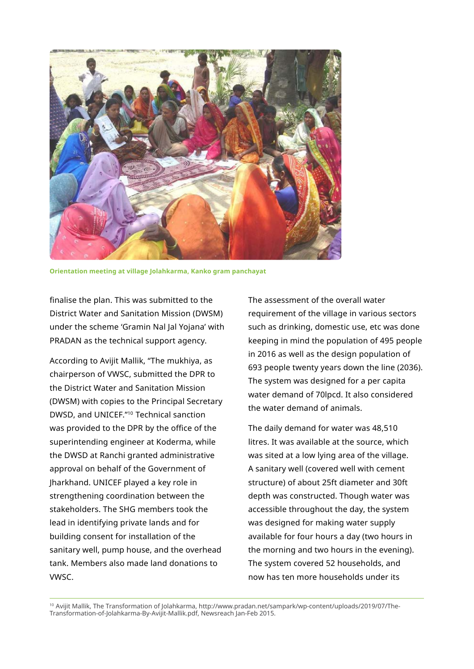

**Orientation meeting at village Jolahkarma, Kanko gram panchayat**

finalise the plan. This was submitted to the District Water and Sanitation Mission (DWSM) under the scheme 'Gramin Nal Jal Yojana' with PRADAN as the technical support agency.

According to Avijit Mallik, "The mukhiya, as chairperson of VWSC, submitted the DPR to the District Water and Sanitation Mission (DWSM) with copies to the Principal Secretary DWSD, and UNICEF."10 Technical sanction was provided to the DPR by the office of the superintending engineer at Koderma, while the DWSD at Ranchi granted administrative approval on behalf of the Government of Jharkhand. UNICEF played a key role in strengthening coordination between the stakeholders. The SHG members took the lead in identifying private lands and for building consent for installation of the sanitary well, pump house, and the overhead tank. Members also made land donations to VWSC.

The assessment of the overall water requirement of the village in various sectors such as drinking, domestic use, etc was done keeping in mind the population of 495 people in 2016 as well as the design population of 693 people twenty years down the line (2036). The system was designed for a per capita water demand of 70lpcd. It also considered the water demand of animals.

The daily demand for water was 48,510 litres. It was available at the source, which was sited at a low lying area of the village. A sanitary well (covered well with cement structure) of about 25ft diameter and 30ft depth was constructed. Though water was accessible throughout the day, the system was designed for making water supply available for four hours a day (two hours in the morning and two hours in the evening). The system covered 52 households, and now has ten more households under its

10 Avijit Mallik, The Transformation of Jolahkarma, http://www.pradan.net/sampark/wp-content/uploads/2019/07/The-Transformation-of-Jolahkarma-By-Avijit-Mallik.pdf, Newsreach Jan-Feb 2015.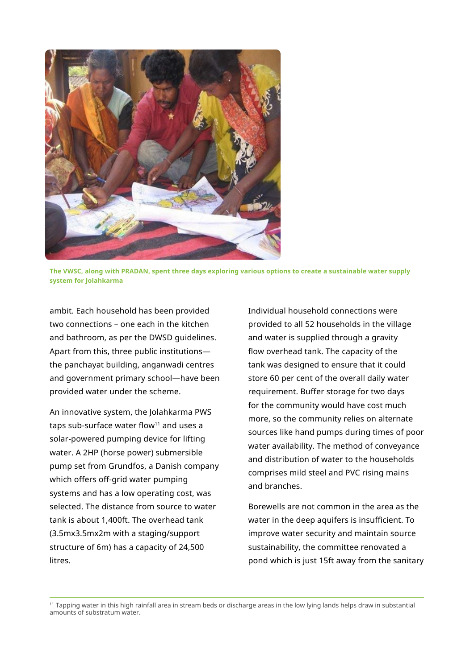

**The VWSC, along with PRADAN, spent three days exploring various options to create a sustainable water supply system for Jolahkarma**

ambit. Each household has been provided two connections – one each in the kitchen and bathroom, as per the DWSD guidelines. Apart from this, three public institutions the panchayat building, anganwadi centres and government primary school—have been provided water under the scheme.

An innovative system, the Jolahkarma PWS taps sub-surface water flow $11$  and uses a solar-powered pumping device for lifting water. A 2HP (horse power) submersible pump set from Grundfos, a Danish company which offers off-grid water pumping systems and has a low operating cost, was selected. The distance from source to water tank is about 1,400ft. The overhead tank (3.5mx3.5mx2m with a staging/support structure of 6m) has a capacity of 24,500 litres.

Individual household connections were provided to all 52 households in the village and water is supplied through a gravity flow overhead tank. The capacity of the tank was designed to ensure that it could store 60 per cent of the overall daily water requirement. Buffer storage for two days for the community would have cost much more, so the community relies on alternate sources like hand pumps during times of poor water availability. The method of conveyance and distribution of water to the households comprises mild steel and PVC rising mains and branches.

Borewells are not common in the area as the water in the deep aquifers is insufficient. To improve water security and maintain source sustainability, the committee renovated a pond which is just 15ft away from the sanitary

<sup>11</sup> Tapping water in this high rainfall area in stream beds or discharge areas in the low lying lands helps draw in substantial amounts of substratum water.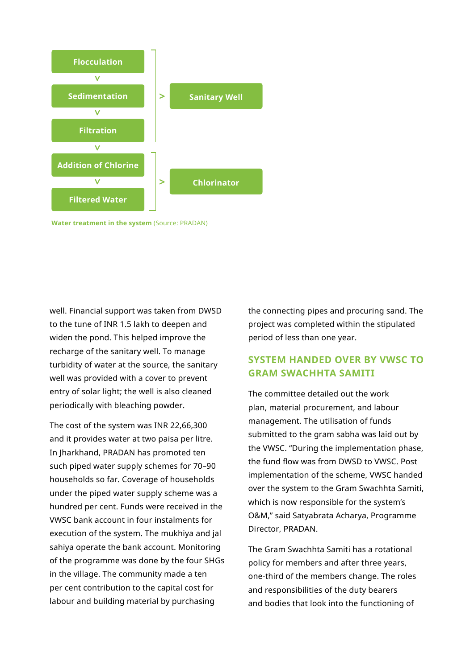

**Water treatment in the system** (Source: PRADAN)

well. Financial support was taken from DWSD to the tune of INR 1.5 lakh to deepen and widen the pond. This helped improve the recharge of the sanitary well. To manage turbidity of water at the source, the sanitary well was provided with a cover to prevent entry of solar light; the well is also cleaned periodically with bleaching powder.

The cost of the system was INR 22,66,300 and it provides water at two paisa per litre. In Jharkhand, PRADAN has promoted ten such piped water supply schemes for 70–90 households so far. Coverage of households under the piped water supply scheme was a hundred per cent. Funds were received in the VWSC bank account in four instalments for execution of the system. The mukhiya and jal sahiya operate the bank account. Monitoring of the programme was done by the four SHGs in the village. The community made a ten per cent contribution to the capital cost for labour and building material by purchasing

the connecting pipes and procuring sand. The project was completed within the stipulated period of less than one year.

## **SYSTEM HANDED OVER BY VWSC TO GRAM SWACHHTA SAMITI**

The committee detailed out the work plan, material procurement, and labour management. The utilisation of funds submitted to the gram sabha was laid out by the VWSC. "During the implementation phase, the fund flow was from DWSD to VWSC. Post implementation of the scheme, VWSC handed over the system to the Gram Swachhta Samiti, which is now responsible for the system's O&M," said Satyabrata Acharya, Programme Director, PRADAN.

The Gram Swachhta Samiti has a rotational policy for members and after three years, one-third of the members change. The roles and responsibilities of the duty bearers and bodies that look into the functioning of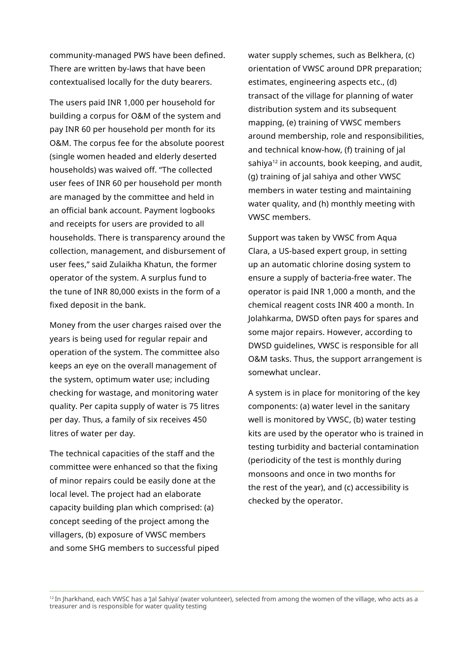community-managed PWS have been defined. There are written by-laws that have been contextualised locally for the duty bearers.

The users paid INR 1,000 per household for building a corpus for O&M of the system and pay INR 60 per household per month for its O&M. The corpus fee for the absolute poorest (single women headed and elderly deserted households) was waived off. "The collected user fees of INR 60 per household per month are managed by the committee and held in an official bank account. Payment logbooks and receipts for users are provided to all households. There is transparency around the collection, management, and disbursement of user fees," said Zulaikha Khatun, the former operator of the system. A surplus fund to the tune of INR 80,000 exists in the form of a fixed deposit in the bank.

Money from the user charges raised over the years is being used for regular repair and operation of the system. The committee also keeps an eye on the overall management of the system, optimum water use; including checking for wastage, and monitoring water quality. Per capita supply of water is 75 litres per day. Thus, a family of six receives 450 litres of water per day.

The technical capacities of the staff and the committee were enhanced so that the fixing of minor repairs could be easily done at the local level. The project had an elaborate capacity building plan which comprised: (a) concept seeding of the project among the villagers, (b) exposure of VWSC members and some SHG members to successful piped water supply schemes, such as Belkhera, (c) orientation of VWSC around DPR preparation; estimates, engineering aspects etc., (d) transact of the village for planning of water distribution system and its subsequent mapping, (e) training of VWSC members around membership, role and responsibilities, and technical know-how, (f) training of jal sahiya<sup>12</sup> in accounts, book keeping, and audit, (g) training of jal sahiya and other VWSC members in water testing and maintaining water quality, and (h) monthly meeting with VWSC members.

Support was taken by VWSC from Aqua Clara, a US-based expert group, in setting up an automatic chlorine dosing system to ensure a supply of bacteria-free water. The operator is paid INR 1,000 a month, and the chemical reagent costs INR 400 a month. In Jolahkarma, DWSD often pays for spares and some major repairs. However, according to DWSD guidelines, VWSC is responsible for all O&M tasks. Thus, the support arrangement is somewhat unclear.

A system is in place for monitoring of the key components: (a) water level in the sanitary well is monitored by VWSC, (b) water testing kits are used by the operator who is trained in testing turbidity and bacterial contamination (periodicity of the test is monthly during monsoons and once in two months for the rest of the year), and (c) accessibility is checked by the operator.

<sup>12</sup> In Jharkhand, each VWSC has a 'Jal Sahiya' (water volunteer), selected from among the women of the village, who acts as a treasurer and is responsible for water quality testing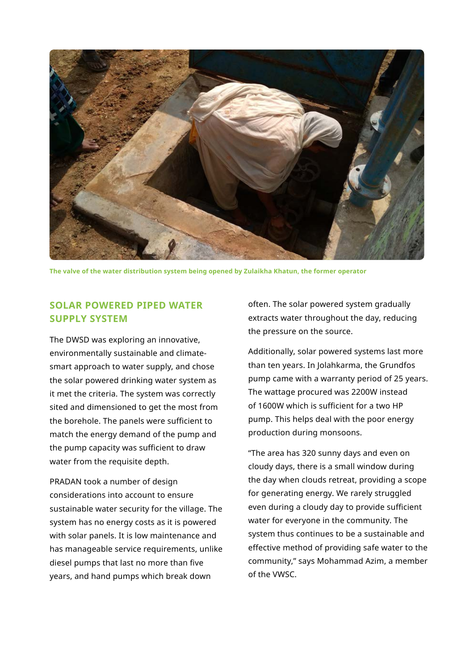

**The valve of the water distribution system being opened by Zulaikha Khatun, the former operator**

### **SOLAR POWERED PIPED WATER SUPPLY SYSTEM**

The DWSD was exploring an innovative, environmentally sustainable and climatesmart approach to water supply, and chose the solar powered drinking water system as it met the criteria. The system was correctly sited and dimensioned to get the most from the borehole. The panels were sufficient to match the energy demand of the pump and the pump capacity was sufficient to draw water from the requisite depth.

PRADAN took a number of design considerations into account to ensure sustainable water security for the village. The system has no energy costs as it is powered with solar panels. It is low maintenance and has manageable service requirements, unlike diesel pumps that last no more than five years, and hand pumps which break down

often. The solar powered system gradually extracts water throughout the day, reducing the pressure on the source.

Additionally, solar powered systems last more than ten years. In Jolahkarma, the Grundfos pump came with a warranty period of 25 years. The wattage procured was 2200W instead of 1600W which is sufficient for a two HP pump. This helps deal with the poor energy production during monsoons.

"The area has 320 sunny days and even on cloudy days, there is a small window during the day when clouds retreat, providing a scope for generating energy. We rarely struggled even during a cloudy day to provide sufficient water for everyone in the community. The system thus continues to be a sustainable and effective method of providing safe water to the community," says Mohammad Azim, a member of the VWSC.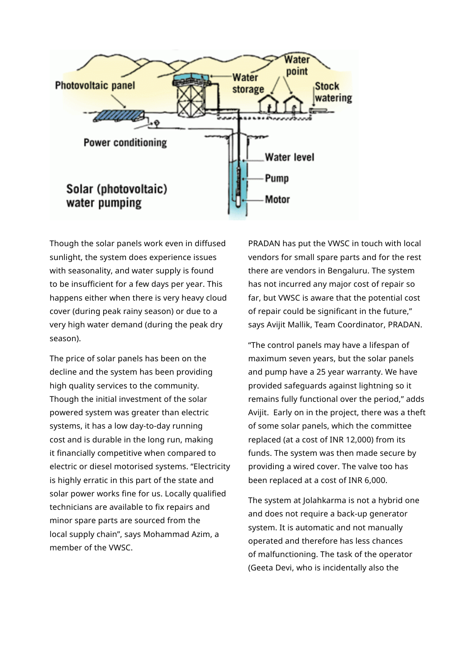

Though the solar panels work even in diffused sunlight, the system does experience issues with seasonality, and water supply is found to be insufficient for a few days per year. This happens either when there is very heavy cloud cover (during peak rainy season) or due to a very high water demand (during the peak dry season).

The price of solar panels has been on the decline and the system has been providing high quality services to the community. Though the initial investment of the solar powered system was greater than electric systems, it has a low day-to-day running cost and is durable in the long run, making it financially competitive when compared to electric or diesel motorised systems. "Electricity is highly erratic in this part of the state and solar power works fine for us. Locally qualified technicians are available to fix repairs and minor spare parts are sourced from the local supply chain", says Mohammad Azim, a member of the VWSC.

PRADAN has put the VWSC in touch with local vendors for small spare parts and for the rest there are vendors in Bengaluru. The system has not incurred any major cost of repair so far, but VWSC is aware that the potential cost of repair could be significant in the future," says Avijit Mallik, Team Coordinator, PRADAN.

"The control panels may have a lifespan of maximum seven years, but the solar panels and pump have a 25 year warranty. We have provided safeguards against lightning so it remains fully functional over the period," adds Avijit. Early on in the project, there was a theft of some solar panels, which the committee replaced (at a cost of INR 12,000) from its funds. The system was then made secure by providing a wired cover. The valve too has been replaced at a cost of INR 6,000.

The system at Jolahkarma is not a hybrid one and does not require a back-up generator system. It is automatic and not manually operated and therefore has less chances of malfunctioning. The task of the operator (Geeta Devi, who is incidentally also the